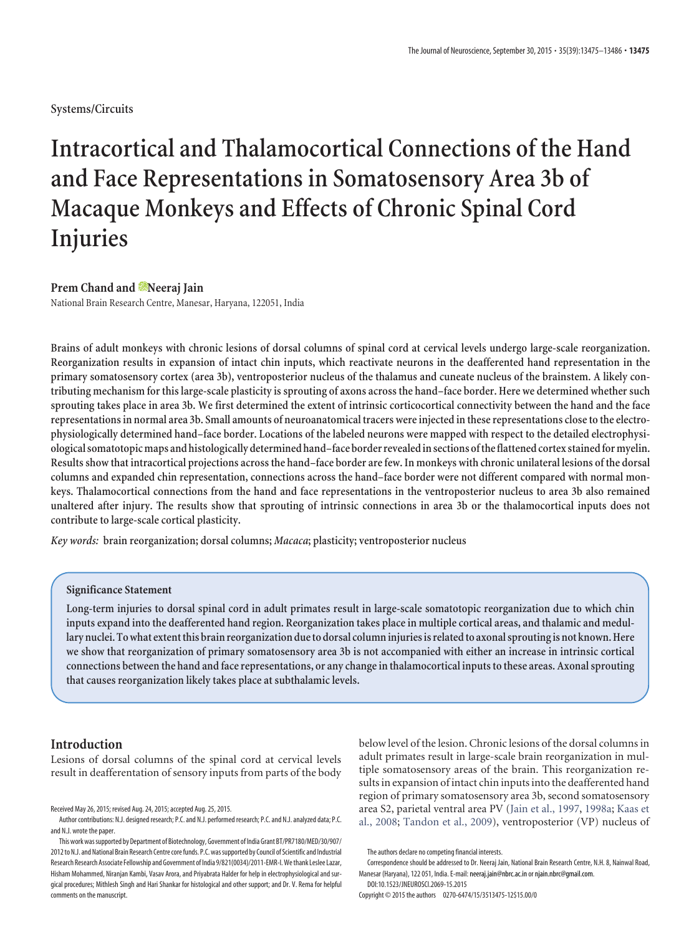## **Systems/Circuits**

# **Intracortical and Thalamocortical Connections of the Hand and Face Representations in Somatosensory Area 3b of Macaque Monkeys and Effects of Chronic Spinal Cord Injuries**

## **Prem Chand and Meeraj Jain**

National Brain Research Centre, Manesar, Haryana, 122051, India

**Brains of adult monkeys with chronic lesions of dorsal columns of spinal cord at cervical levels undergo large-scale reorganization. Reorganization results in expansion of intact chin inputs, which reactivate neurons in the deafferented hand representation in the primary somatosensory cortex (area 3b), ventroposterior nucleus of the thalamus and cuneate nucleus of the brainstem. A likely contributing mechanism for this large-scale plasticity is sprouting of axons across the hand–face border. Here we determined whether such sprouting takes place in area 3b. We first determined the extent of intrinsic corticocortical connectivity between the hand and the face representations in normal area 3b. Small amounts of neuroanatomical tracers were injected in these representations close to the electrophysiologically determined hand–face border. Locations of the labeled neurons were mapped with respect to the detailed electrophysiological somatotopic maps and histologically determined hand–face border revealed in sections of the flattened cortex stained for myelin. Results show that intracortical projections across the hand–face border are few. In monkeys with chronic unilateral lesions of the dorsal columns and expanded chin representation, connections across the hand–face border were not different compared with normal monkeys. Thalamocortical connections from the hand and face representations in the ventroposterior nucleus to area 3b also remained unaltered after injury. The results show that sprouting of intrinsic connections in area 3b or the thalamocortical inputs does not contribute to large-scale cortical plasticity.**

*Key words:* **brain reorganization; dorsal columns;** *Macaca***; plasticity; ventroposterior nucleus**

#### **Significance Statement**

**Long-term injuries to dorsal spinal cord in adult primates result in large-scale somatotopic reorganization due to which chin inputs expand into the deafferented hand region. Reorganization takes place in multiple cortical areas, and thalamic and medullary nuclei. To what extent this brain reorganization due to dorsal column injuries is related to axonal sprouting is not known. Here we show that reorganization of primary somatosensory area 3b is not accompanied with either an increase in intrinsic cortical connections between the hand and face representations, or any change in thalamocortical inputs to these areas. Axonal sprouting that causes reorganization likely takes place at subthalamic levels.**

#### **Introduction**

Lesions of dorsal columns of the spinal cord at cervical levels result in deafferentation of sensory inputs from parts of the body below level of the lesion. Chronic lesions of the dorsal columns in adult primates result in large-scale brain reorganization in multiple somatosensory areas of the brain. This reorganization results in expansion of intact chin inputs into the deafferented hand region of primary somatosensory area 3b, second somatosensory area S2, parietal ventral area PV (Jain et al., 1997, 1998a; Kaas et al., 2008; Tandon et al., 2009), ventroposterior (VP) nucleus of

Received May 26, 2015; revised Aug. 24, 2015; accepted Aug. 25, 2015.

Author contributions: N.J. designed research; P.C. and N.J. performed research; P.C. and N.J. analyzed data; P.C. and N.J. wrote the paper.

This work was supported by Department of Biotechnology, Government of India Grant BT/PR7180/MED/30/907/ 2012 to N.J. and National Brain Research Centre core funds. P.C. was supported by Council of Scientific and Industrial Research Research Associate Fellowship and Government of India 9/821(0034)/2011-EMR-I. We thank Leslee Lazar, Hisham Mohammed, Niranjan Kambi, Vasav Arora, and Priyabrata Halder for help in electrophysiological and surgical procedures; Mithlesh Singh and Hari Shankar for histological and other support; and Dr. V. Rema for helpful comments on the manuscript.

The authors declare no competing financial interests.

Correspondence should be addressed to Dr. Neeraj Jain, National Brain Research Centre, N.H. 8, Nainwal Road, Manesar (Haryana), 122 051, India. E-mail: neeraj.jain@nbrc.ac.in or njain.nbrc@gmail.com.

DOI:10.1523/JNEUROSCI.2069-15.2015 Copyright © 2015 the authors 0270-6474/15/3513475-12\$15.00/0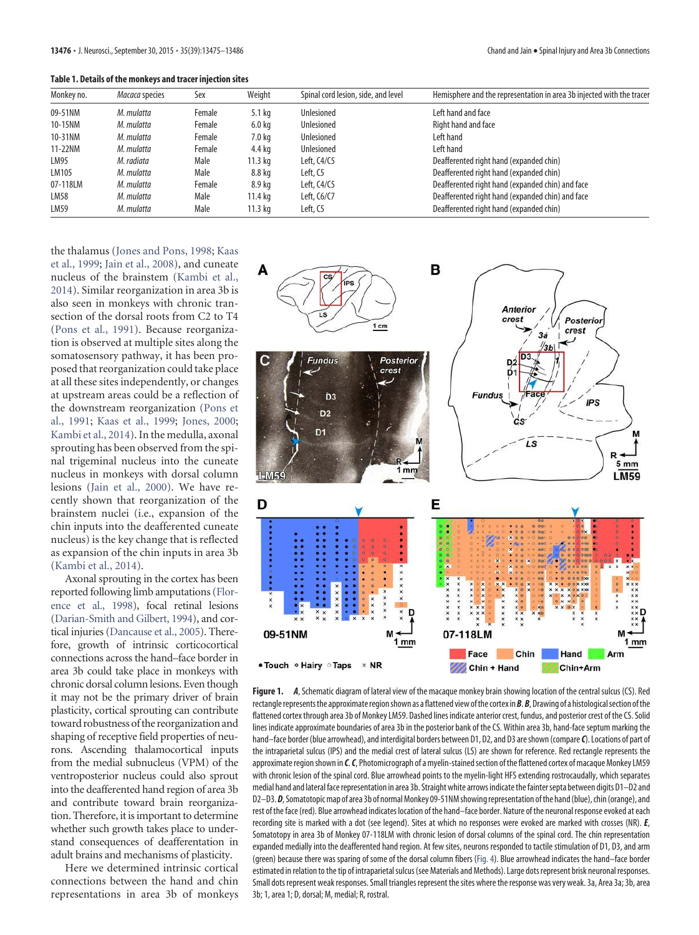**Table 1. Details of the monkeys and tracer injection sites**

| Monkey no. | Macaca species | Sex    | Weight            | Spinal cord lesion, side, and level | Hemisphere and the representation in area 3b injected with the tracer |
|------------|----------------|--------|-------------------|-------------------------------------|-----------------------------------------------------------------------|
| 09-51NM    | M. mulatta     | Female | $5.1$ kg          | <b>Unlesioned</b>                   | Left hand and face                                                    |
| 10-15NM    | M. mulatta     | Female | 6.0 <sub>kq</sub> | Unlesioned                          | Right hand and face                                                   |
| 10-31NM    | M. mulatta     | Female | 7.0 kg            | Unlesioned                          | Left hand                                                             |
| 11-22NM    | M. mulatta     | Female | 4.4 kg            | <b>Unlesioned</b>                   | Left hand                                                             |
| LM95       | M. radiata     | Male   | 11.3 kg           | Left, C4/C5                         | Deafferented right hand (expanded chin)                               |
| LM105      | M. mulatta     | Male   | 8.8 kg            | Left, C5                            | Deafferented right hand (expanded chin)                               |
| 07-118LM   | M. mulatta     | Female | 8.9 kg            | Left, C4/C5                         | Deafferented right hand (expanded chin) and face                      |
| LM58       | M. mulatta     | Male   | 11.4 kg           | Left, C6/C7                         | Deafferented right hand (expanded chin) and face                      |
| LM59       | M. mulatta     | Male   | 11.3 ka           | Left, C5                            | Deafferented right hand (expanded chin)                               |

the thalamus (Jones and Pons, 1998; Kaas et al., 1999; Jain et al., 2008), and cuneate nucleus of the brainstem (Kambi et al., 2014). Similar reorganization in area 3b is also seen in monkeys with chronic transection of the dorsal roots from C2 to T4 (Pons et al., 1991). Because reorganization is observed at multiple sites along the somatosensory pathway, it has been proposed that reorganization could take place at all these sites independently, or changes at upstream areas could be a reflection of the downstream reorganization (Pons et al., 1991; Kaas et al., 1999; Jones, 2000; Kambi et al., 2014). In the medulla, axonal sprouting has been observed from the spinal trigeminal nucleus into the cuneate nucleus in monkeys with dorsal column lesions (Jain et al., 2000). We have recently shown that reorganization of the brainstem nuclei (i.e., expansion of the chin inputs into the deafferented cuneate nucleus) is the key change that is reflected as expansion of the chin inputs in area 3b (Kambi et al., 2014).

Axonal sprouting in the cortex has been reported following limb amputations (Florence et al., 1998), focal retinal lesions (Darian-Smith and Gilbert, 1994), and cortical injuries (Dancause et al., 2005). Therefore, growth of intrinsic corticocortical connections across the hand–face border in area 3b could take place in monkeys with chronic dorsal column lesions. Even though it may not be the primary driver of brain plasticity, cortical sprouting can contribute toward robustness of the reorganization and shaping of receptive field properties of neurons. Ascending thalamocortical inputs from the medial subnucleus (VPM) of the ventroposterior nucleus could also sprout into the deafferented hand region of area 3b and contribute toward brain reorganization. Therefore, it is important to determine whether such growth takes place to understand consequences of deafferentation in adult brains and mechanisms of plasticity.

Here we determined intrinsic cortical connections between the hand and chin representations in area 3b of monkeys



**Figure 1.** *A*, Schematic diagram of lateral view of the macaque monkey brain showing location of the central sulcus (CS). Red rectangle represents the approximate region shown as a flattened view of the cortex in*B*.*B*, Drawing of a histological section of the flattened cortex through area 3b of Monkey LM59. Dashed lines indicate anterior crest, fundus, and posterior crest of the CS. Solid lines indicate approximate boundaries of area 3b in the posterior bank of the CS. Within area 3b, hand-face septum marking the hand–face border (blue arrowhead), and interdigital borders between D1, D2, and D3 are shown (compare*C*). Locations of part of the intraparietal sulcus (IPS) and the medial crest of lateral sulcus (LS) are shown for reference. Red rectangle represents the approximate region shown in *C*.*C*, Photomicrograph of a myelin-stained section of the flattened cortex of macaque Monkey LM59 with chronic lesion of the spinal cord. Blue arrowhead points to the myelin-light HFS extending rostrocaudally, which separates medial hand and lateral face representation in area 3b. Straight white arrows indicate the fainter septa between digits D1–D2 and D2–D3.*D*, Somatotopic map of area 3b of normal Monkey 09-51NM showing representation of the hand (blue), chin (orange), and rest of the face (red). Blue arrowhead indicates location of the hand–face border. Nature of the neuronal response evoked at each recording site is marked with a dot (see legend). Sites at which no responses were evoked are marked with crosses (NR). *E*, Somatotopy in area 3b of Monkey 07-118LM with chronic lesion of dorsal columns of the spinal cord. The chin representation expanded medially into the deafferented hand region. At few sites, neurons responded to tactile stimulation of D1, D3, and arm (green) because there was sparing of some of the dorsal column fibers (Fig. 4). Blue arrowhead indicates the hand–face border estimated in relation to the tip of intraparietal sulcus (see Materials and Methods). Large dots represent brisk neuronal responses. Small dots represent weak responses. Small triangles represent the sites where the response was very weak. 3a, Area 3a; 3b, area 3b; 1, area 1; D, dorsal; M, medial; R, rostral.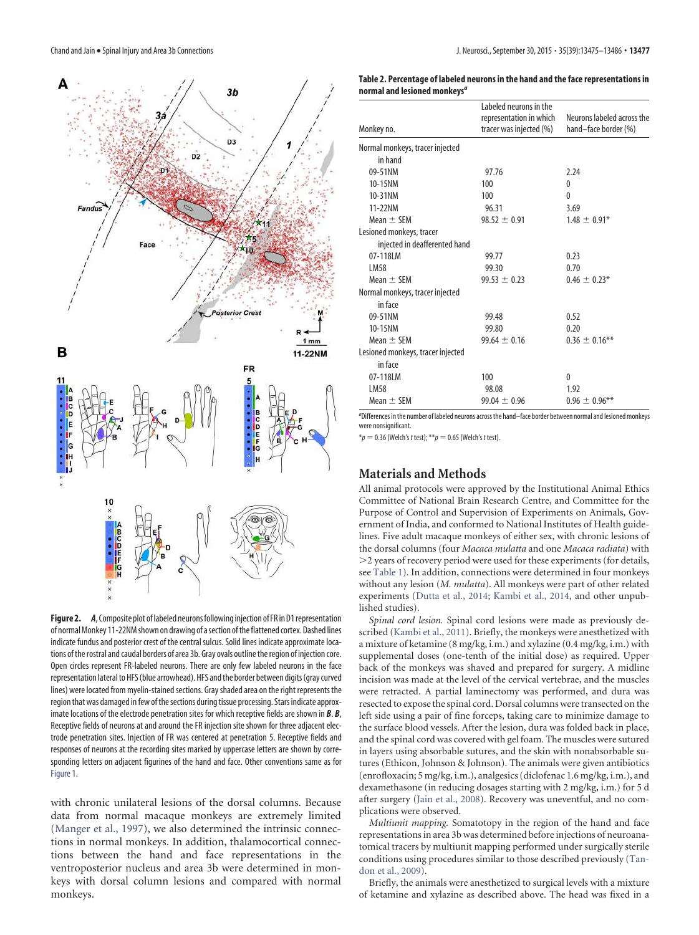

**Figure 2.** *A*, Composite plot of labeled neurons following injection of FR in D1 representation of normal Monkey 11-22NM shown on drawing of a section of the flattened cortex. Dashed lines indicate fundus and posterior crest of the central sulcus. Solid lines indicate approximate locations of the rostral and caudal borders of area 3b. Gray ovals outline the region of injection core. Open circles represent FR-labeled neurons. There are only few labeled neurons in the face representation lateral to HFS (blue arrowhead). HFS and the border between digits (gray curved lines) were located from myelin-stained sections. Gray shaded area on the right represents the region that was damaged in few of the sections during tissue processing. Stars indicate approximate locations of the electrode penetration sites for which receptive fields are shown in *B*. *B*, Receptive fields of neurons at and around the FR injection site shown for three adjacent electrode penetration sites. Injection of FR was centered at penetration 5. Receptive fields and responses of neurons at the recording sites marked by uppercase letters are shown by corresponding letters on adjacent figurines of the hand and face. Other conventions same as for Figure 1.

with chronic unilateral lesions of the dorsal columns. Because data from normal macaque monkeys are extremely limited (Manger et al., 1997), we also determined the intrinsic connections in normal monkeys. In addition, thalamocortical connections between the hand and face representations in the ventroposterior nucleus and area 3b were determined in monkeys with dorsal column lesions and compared with normal monkeys.

| Table 2. Percentage of labeled neurons in the hand and the face representations in |
|------------------------------------------------------------------------------------|
| normal and lesioned monkeys <sup>a</sup>                                           |

| Monkey no.                        | Labeled neurons in the<br>representation in which<br>tracer was injected (%) | Neurons labeled across the<br>hand-face border (%) |
|-----------------------------------|------------------------------------------------------------------------------|----------------------------------------------------|
| Normal monkeys, tracer injected   |                                                                              |                                                    |
| in hand                           |                                                                              |                                                    |
| 09-51NM                           | 97.76                                                                        | 2.24                                               |
| 10-15NM                           | 100                                                                          | 0                                                  |
| 10-31NM                           | 100                                                                          | $\mathbf{0}$                                       |
| 11-22NM                           | 96.31                                                                        | 3.69                                               |
| Mean $\pm$ SEM                    | $98.52 \pm 0.91$                                                             | $1.48 \pm 0.91*$                                   |
| Lesioned monkeys, tracer          |                                                                              |                                                    |
| injected in deafferented hand     |                                                                              |                                                    |
| 07-118LM                          | 99.77                                                                        | 0.23                                               |
| LM58                              | 99.30                                                                        | 0.70                                               |
| Mean $\pm$ SEM                    | $99.53 \pm 0.23$                                                             | $0.46 \pm 0.23*$                                   |
| Normal monkeys, tracer injected   |                                                                              |                                                    |
| in face                           |                                                                              |                                                    |
| 09-51NM                           | 99.48                                                                        | 0.52                                               |
| 10-15NM                           | 99.80                                                                        | 0.20                                               |
| Mean $\pm$ SEM                    | $99.64 \pm 0.16$                                                             | $0.36 \pm 0.16$ **                                 |
| Lesioned monkeys, tracer injected |                                                                              |                                                    |
| in face                           |                                                                              |                                                    |
| 07-118LM                          | 100                                                                          | 0                                                  |
| LM58                              | 98.08                                                                        | 1.92                                               |
| Mean $\pm$ SEM                    | $99.04 \pm 0.96$                                                             | $0.96 \pm 0.96$ **                                 |

a Differences in the number of labeled neurons across the hand–face border between normal and lesioned monkeys were nonsignificant.

 $*_{p} = 0.36$  (Welch's t test);  $**_{p} = 0.65$  (Welch's t test).

## **Materials and Methods**

All animal protocols were approved by the Institutional Animal Ethics Committee of National Brain Research Centre, and Committee for the Purpose of Control and Supervision of Experiments on Animals, Government of India, and conformed to National Institutes of Health guidelines. Five adult macaque monkeys of either sex, with chronic lesions of the dorsal columns (four *Macaca mulatta* and one *Macaca radiata*) with -2 years of recovery period were used for these experiments (for details, see Table 1). In addition, connections were determined in four monkeys without any lesion (*M. mulatta*). All monkeys were part of other related experiments (Dutta et al., 2014; Kambi et al., 2014, and other unpublished studies).

*Spinal cord lesion.* Spinal cord lesions were made as previously described (Kambi et al., 2011). Briefly, the monkeys were anesthetized with a mixture of ketamine (8 mg/kg, i.m.) and xylazine (0.4 mg/kg, i.m.) with supplemental doses (one-tenth of the initial dose) as required. Upper back of the monkeys was shaved and prepared for surgery. A midline incision was made at the level of the cervical vertebrae, and the muscles were retracted. A partial laminectomy was performed, and dura was resected to expose the spinal cord. Dorsal columns were transected on the left side using a pair of fine forceps, taking care to minimize damage to the surface blood vessels. After the lesion, dura was folded back in place, and the spinal cord was covered with gel foam. The muscles were sutured in layers using absorbable sutures, and the skin with nonabsorbable sutures (Ethicon, Johnson & Johnson). The animals were given antibiotics (enrofloxacin; 5 mg/kg, i.m.), analgesics (diclofenac 1.6 mg/kg, i.m.), and dexamethasone (in reducing dosages starting with 2 mg/kg, i.m.) for 5 d after surgery (Jain et al., 2008). Recovery was uneventful, and no complications were observed.

*Multiunit mapping.* Somatotopy in the region of the hand and face representations in area 3b was determined before injections of neuroanatomical tracers by multiunit mapping performed under surgically sterile conditions using procedures similar to those described previously (Tandon et al., 2009).

Briefly, the animals were anesthetized to surgical levels with a mixture of ketamine and xylazine as described above. The head was fixed in a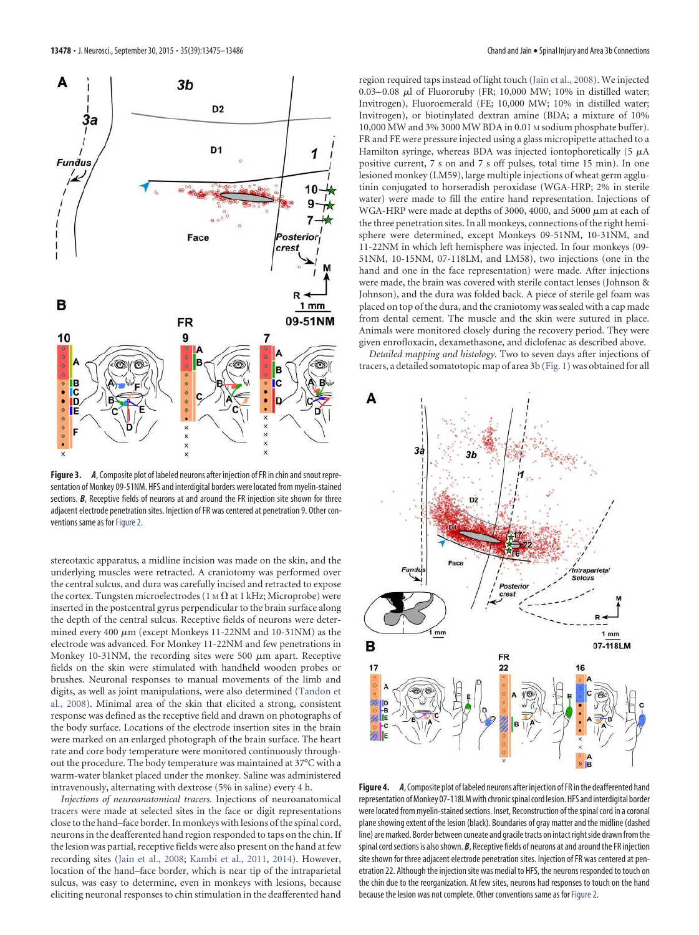

**Figure 3.** *A*, Composite plot of labeled neurons after injection of FR in chin and snout representation of Monkey 09-51NM. HFS and interdigital borders were located from myelin-stained sections. *B*, Receptive fields of neurons at and around the FR injection site shown for three adjacent electrode penetration sites. Injection of FR was centered at penetration 9. Other conventions same as for Figure 2.

stereotaxic apparatus, a midline incision was made on the skin, and the underlying muscles were retracted. A craniotomy was performed over the central sulcus, and dura was carefully incised and retracted to expose the cortex. Tungsten microelectrodes (1 M  $\Omega$  at 1 kHz; Microprobe) were inserted in the postcentral gyrus perpendicular to the brain surface along the depth of the central sulcus. Receptive fields of neurons were determined every 400  $\mu$ m (except Monkeys 11-22NM and 10-31NM) as the electrode was advanced. For Monkey 11-22NM and few penetrations in Monkey 10-31NM, the recording sites were 500  $\mu$ m apart. Receptive fields on the skin were stimulated with handheld wooden probes or brushes. Neuronal responses to manual movements of the limb and digits, as well as joint manipulations, were also determined (Tandon et al., 2008). Minimal area of the skin that elicited a strong, consistent response was defined as the receptive field and drawn on photographs of the body surface. Locations of the electrode insertion sites in the brain were marked on an enlarged photograph of the brain surface. The heart rate and core body temperature were monitored continuously throughout the procedure. The body temperature was maintained at 37°C with a warm-water blanket placed under the monkey. Saline was administered intravenously, alternating with dextrose (5% in saline) every 4 h.

*Injections of neuroanatomical tracers.* Injections of neuroanatomical tracers were made at selected sites in the face or digit representations close to the hand–face border. In monkeys with lesions of the spinal cord, neurons in the deafferented hand region responded to taps on the chin. If the lesion was partial, receptive fields were also present on the hand at few recording sites (Jain et al., 2008; Kambi et al., 2011, 2014). However, location of the hand–face border, which is near tip of the intraparietal sulcus, was easy to determine, even in monkeys with lesions, because eliciting neuronal responses to chin stimulation in the deafferented hand region required taps instead of light touch (Jain et al., 2008). We injected 0.03–0.08  $\mu$ l of Fluororuby (FR; 10,000 MW; 10% in distilled water; Invitrogen), Fluoroemerald (FE; 10,000 MW; 10% in distilled water; Invitrogen), or biotinylated dextran amine (BDA; a mixture of 10% 10,000 MW and 3% 3000 MW BDA in 0.01 M sodium phosphate buffer). FR and FE were pressure injected using a glass micropipette attached to a Hamilton syringe, whereas BDA was injected iontophoretically (5  $\mu$ A positive current, 7 s on and 7 s off pulses, total time 15 min). In one lesioned monkey (LM59), large multiple injections of wheat germ agglutinin conjugated to horseradish peroxidase (WGA-HRP; 2% in sterile water) were made to fill the entire hand representation. Injections of WGA-HRP were made at depths of 3000, 4000, and 5000  $\mu$ m at each of the three penetration sites. In all monkeys, connections of the right hemisphere were determined, except Monkeys 09-51NM, 10-31NM, and 11-22NM in which left hemisphere was injected. In four monkeys (09- 51NM, 10-15NM, 07-118LM, and LM58), two injections (one in the hand and one in the face representation) were made. After injections were made, the brain was covered with sterile contact lenses (Johnson & Johnson), and the dura was folded back. A piece of sterile gel foam was placed on top of the dura, and the craniotomy was sealed with a cap made from dental cement. The muscle and the skin were sutured in place. Animals were monitored closely during the recovery period. They were given enrofloxacin, dexamethasone, and diclofenac as described above.

*Detailed mapping and histology.* Two to seven days after injections of tracers, a detailed somatotopic map of area 3b (Fig. 1) was obtained for all



**Figure 4.** *A*, Composite plot of labeled neurons after injection of FR in the deafferented hand representation of Monkey 07-118LM with chronic spinal cord lesion. HFS and interdigital border were located from myelin-stained sections. Inset, Reconstruction of the spinal cord in a coronal plane showing extent of the lesion (black). Boundaries of gray matter and the midline (dashed line) are marked. Border between cuneate and gracile tracts on intact right side drawn from the spinal cord sections is also shown. *B*, Receptive fields of neurons at and around the FR injection site shown for three adjacent electrode penetration sites. Injection of FR was centered at penetration 22. Although the injection site was medial to HFS, the neurons responded to touch on the chin due to the reorganization. At few sites, neurons had responses to touch on the hand because the lesion was not complete. Other conventions same as for Figure 2.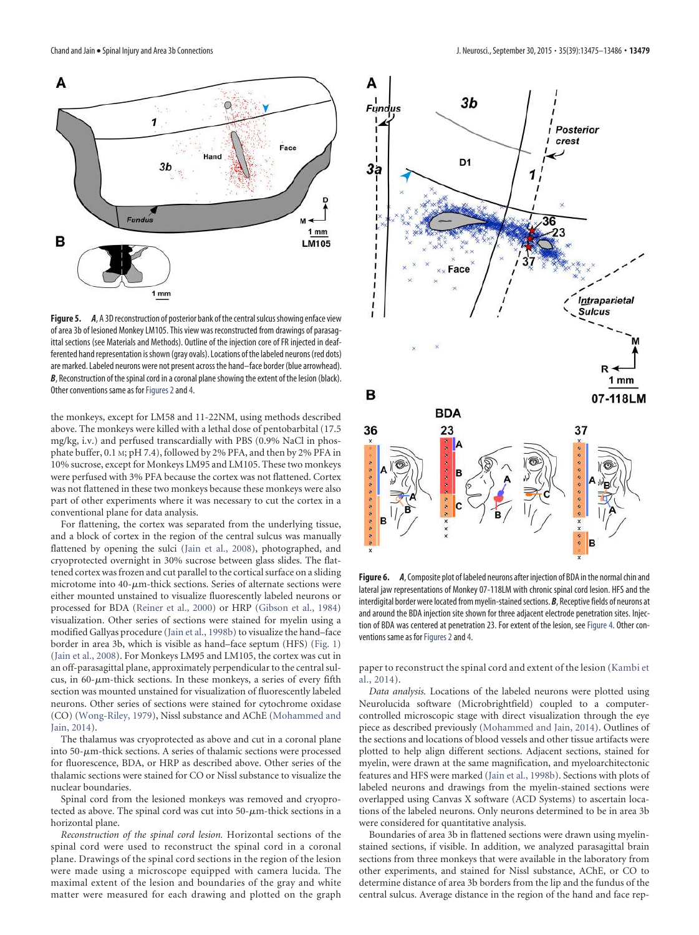

**Figure 5.** *A*, A 3D reconstruction of posterior bank of the central sulcus showing enface view of area 3b of lesioned Monkey LM105. This view was reconstructed from drawings of parasagittal sections (see Materials and Methods). Outline of the injection core of FR injected in deafferented hand representation is shown (gray ovals). Locations of the labeled neurons (red dots) are marked. Labeled neurons were not present across the hand–face border (blue arrowhead). **B**, Reconstruction of the spinal cord in a coronal plane showing the extent of the lesion (black). Other conventions same as for Figures 2 and 4.

the monkeys, except for LM58 and 11-22NM, using methods described above. The monkeys were killed with a lethal dose of pentobarbital (17.5 mg/kg, i.v.) and perfused transcardially with PBS (0.9% NaCl in phosphate buffer, 0.1 M; pH 7.4), followed by 2% PFA, and then by 2% PFA in 10% sucrose, except for Monkeys LM95 and LM105. These two monkeys were perfused with 3% PFA because the cortex was not flattened. Cortex was not flattened in these two monkeys because these monkeys were also part of other experiments where it was necessary to cut the cortex in a conventional plane for data analysis.

For flattening, the cortex was separated from the underlying tissue, and a block of cortex in the region of the central sulcus was manually flattened by opening the sulci (Jain et al., 2008), photographed, and cryoprotected overnight in 30% sucrose between glass slides. The flattened cortex was frozen and cut parallel to the cortical surface on a sliding microtome into  $40$ - $\mu$ m-thick sections. Series of alternate sections were either mounted unstained to visualize fluorescently labeled neurons or processed for BDA (Reiner et al., 2000) or HRP (Gibson et al., 1984) visualization. Other series of sections were stained for myelin using a modified Gallyas procedure (Jain et al., 1998b) to visualize the hand–face border in area 3b, which is visible as hand–face septum (HFS) (Fig. 1) (Jain et al., 2008). For Monkeys LM95 and LM105, the cortex was cut in an off-parasagittal plane, approximately perpendicular to the central sulcus, in 60- $\mu$ m-thick sections. In these monkeys, a series of every fifth section was mounted unstained for visualization of fluorescently labeled neurons. Other series of sections were stained for cytochrome oxidase (CO) (Wong-Riley, 1979), Nissl substance and AChE (Mohammed and Jain, 2014).

The thalamus was cryoprotected as above and cut in a coronal plane into 50-µm-thick sections. A series of thalamic sections were processed for fluorescence, BDA, or HRP as described above. Other series of the thalamic sections were stained for CO or Nissl substance to visualize the nuclear boundaries.

Spinal cord from the lesioned monkeys was removed and cryoprotected as above. The spinal cord was cut into 50- $\mu$ m-thick sections in a horizontal plane.

*Reconstruction of the spinal cord lesion.* Horizontal sections of the spinal cord were used to reconstruct the spinal cord in a coronal plane. Drawings of the spinal cord sections in the region of the lesion were made using a microscope equipped with camera lucida. The maximal extent of the lesion and boundaries of the gray and white matter were measured for each drawing and plotted on the graph



**Figure 6.** *A*, Composite plot of labeled neurons after injection of BDA in the normal chin and lateral jaw representations of Monkey 07-118LM with chronic spinal cord lesion. HFS and the interdigital border were located from myelin-stained sections. *B*, Receptive fields of neurons at and around the BDA injection site shown for three adjacent electrode penetration sites. Injection of BDA was centered at penetration 23. For extent of the lesion, see Figure 4. Other conventions same as for Figures 2 and 4.

paper to reconstruct the spinal cord and extent of the lesion (Kambi et al., 2014).

*Data analysis.* Locations of the labeled neurons were plotted using Neurolucida software (Microbrightfield) coupled to a computercontrolled microscopic stage with direct visualization through the eye piece as described previously (Mohammed and Jain, 2014). Outlines of the sections and locations of blood vessels and other tissue artifacts were plotted to help align different sections. Adjacent sections, stained for myelin, were drawn at the same magnification, and myeloarchitectonic features and HFS were marked (Jain et al., 1998b). Sections with plots of labeled neurons and drawings from the myelin-stained sections were overlapped using Canvas X software (ACD Systems) to ascertain locations of the labeled neurons. Only neurons determined to be in area 3b were considered for quantitative analysis.

Boundaries of area 3b in flattened sections were drawn using myelinstained sections, if visible. In addition, we analyzed parasagittal brain sections from three monkeys that were available in the laboratory from other experiments, and stained for Nissl substance, AChE, or CO to determine distance of area 3b borders from the lip and the fundus of the central sulcus. Average distance in the region of the hand and face rep-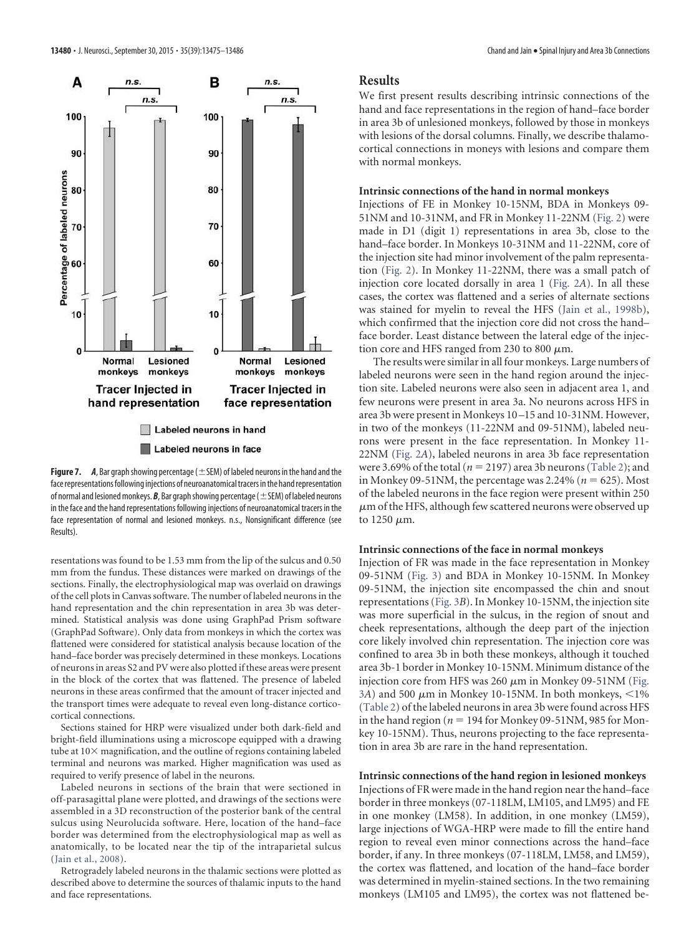

**Figure 7.** *A*, Bar graph showing percentage ( $\pm$  SEM) of labeled neurons in the hand and the face representations following injections of neuroanatomical tracers in the hand representation of normal and lesioned monkeys.  $B$ , Bar graph showing percentage ( $\pm$  SEM) of labeled neurons in the face and the hand representations following injections of neuroanatomical tracers in the face representation of normal and lesioned monkeys. n.s., Nonsignificant difference (see Results).

resentations was found to be 1.53 mm from the lip of the sulcus and 0.50 mm from the fundus. These distances were marked on drawings of the sections. Finally, the electrophysiological map was overlaid on drawings of the cell plots in Canvas software. The number of labeled neurons in the hand representation and the chin representation in area 3b was determined. Statistical analysis was done using GraphPad Prism software (GraphPad Software). Only data from monkeys in which the cortex was flattened were considered for statistical analysis because location of the hand–face border was precisely determined in these monkeys. Locations of neurons in areas S2 and PV were also plotted if these areas were present in the block of the cortex that was flattened. The presence of labeled neurons in these areas confirmed that the amount of tracer injected and the transport times were adequate to reveal even long-distance corticocortical connections.

Sections stained for HRP were visualized under both dark-field and bright-field illuminations using a microscope equipped with a drawing tube at  $10\times$  magnification, and the outline of regions containing labeled terminal and neurons was marked. Higher magnification was used as required to verify presence of label in the neurons.

Labeled neurons in sections of the brain that were sectioned in off-parasagittal plane were plotted, and drawings of the sections were assembled in a 3D reconstruction of the posterior bank of the central sulcus using Neurolucida software. Here, location of the hand–face border was determined from the electrophysiological map as well as anatomically, to be located near the tip of the intraparietal sulcus (Jain et al., 2008).

Retrogradely labeled neurons in the thalamic sections were plotted as described above to determine the sources of thalamic inputs to the hand and face representations.

#### **Results**

We first present results describing intrinsic connections of the hand and face representations in the region of hand–face border in area 3b of unlesioned monkeys, followed by those in monkeys with lesions of the dorsal columns. Finally, we describe thalamocortical connections in moneys with lesions and compare them with normal monkeys.

#### **Intrinsic connections of the hand in normal monkeys**

Injections of FE in Monkey 10-15NM, BDA in Monkeys 09- 51NM and 10-31NM, and FR in Monkey 11-22NM (Fig. 2) were made in D1 (digit 1) representations in area 3b, close to the hand–face border. In Monkeys 10-31NM and 11-22NM, core of the injection site had minor involvement of the palm representation (Fig. 2). In Monkey 11-22NM, there was a small patch of injection core located dorsally in area 1 (Fig. 2*A*). In all these cases, the cortex was flattened and a series of alternate sections was stained for myelin to reveal the HFS (Jain et al., 1998b), which confirmed that the injection core did not cross the hand– face border. Least distance between the lateral edge of the injection core and HFS ranged from 230 to 800  $\mu$ m.

The results were similar in all four monkeys. Large numbers of labeled neurons were seen in the hand region around the injection site. Labeled neurons were also seen in adjacent area 1, and few neurons were present in area 3a. No neurons across HFS in area 3b were present in Monkeys 10 –15 and 10-31NM. However, in two of the monkeys (11-22NM and 09-51NM), labeled neurons were present in the face representation. In Monkey 11- 22NM (Fig. 2*A*), labeled neurons in area 3b face representation were 3.69% of the total ( $n = 2197$ ) area 3b neurons (Table 2); and in Monkey 09-51NM, the percentage was  $2.24\%$  ( $n = 625$ ). Most of the labeled neurons in the face region were present within 250  $\mu$ m of the HFS, although few scattered neurons were observed up to  $1250 \ \mu m$ .

#### **Intrinsic connections of the face in normal monkeys**

Injection of FR was made in the face representation in Monkey 09-51NM (Fig. 3) and BDA in Monkey 10-15NM. In Monkey 09-51NM, the injection site encompassed the chin and snout representations (Fig. 3*B*). In Monkey 10-15NM, the injection site was more superficial in the sulcus, in the region of snout and cheek representations, although the deep part of the injection core likely involved chin representation. The injection core was confined to area 3b in both these monkeys, although it touched area 3b-1 border in Monkey 10-15NM. Minimum distance of the injection core from HFS was 260  $\mu$ m in Monkey 09-51NM (Fig.  $3\overline{A}$ ) and 500  $\mu$ m in Monkey 10-15NM. In both monkeys, <1% (Table 2) of the labeled neurons in area 3b were found across HFS in the hand region ( $n = 194$  for Monkey 09-51NM, 985 for Monkey 10-15NM). Thus, neurons projecting to the face representation in area 3b are rare in the hand representation.

**Intrinsic connections of the hand region in lesioned monkeys** Injections of FR were made in the hand region near the hand–face border in three monkeys (07-118LM, LM105, and LM95) and FE in one monkey (LM58). In addition, in one monkey (LM59), large injections of WGA-HRP were made to fill the entire hand region to reveal even minor connections across the hand–face border, if any. In three monkeys (07-118LM, LM58, and LM59), the cortex was flattened, and location of the hand–face border was determined in myelin-stained sections. In the two remaining monkeys (LM105 and LM95), the cortex was not flattened be-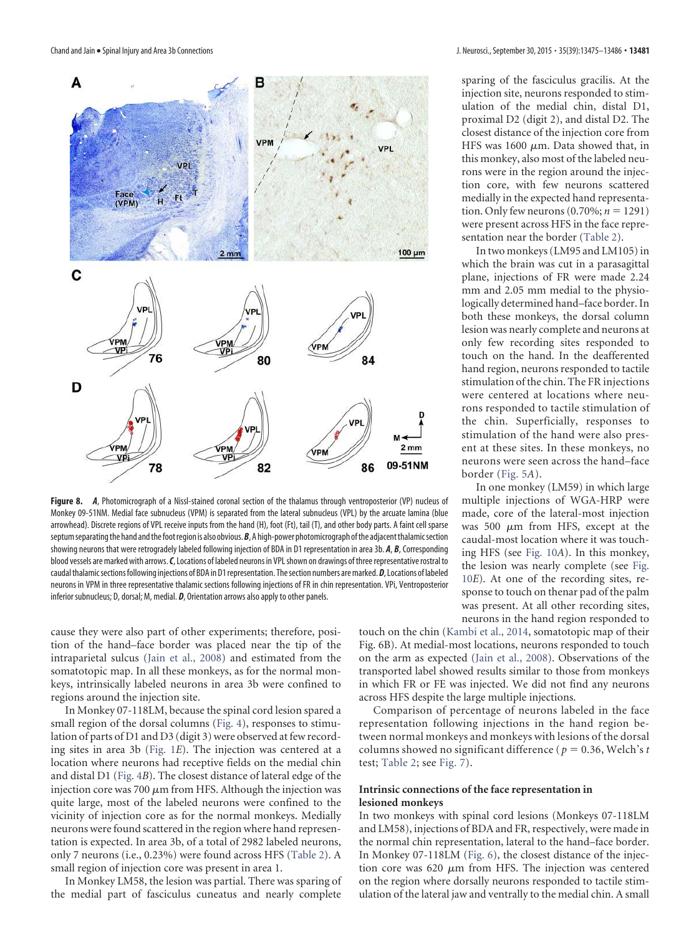

**Figure 8.** *A*, Photomicrograph of a Nissl-stained coronal section of the thalamus through ventroposterior (VP) nucleus of Monkey 09-51NM. Medial face subnucleus (VPM) is separated from the lateral subnucleus (VPL) by the arcuate lamina (blue arrowhead). Discrete regions of VPL receive inputs from the hand (H), foot (Ft), tail (T), and other body parts. A faint cell sparse septum separating the hand and the foot region is also obvious.*B*, A high-power photomicrograph of the adjacent thalamic section showing neurons that were retrogradely labeled following injection of BDA in D1 representation in area 3b. *A*, *B*, Corresponding blood vessels are marked with arrows.*C*, Locations of labeled neurons in VPL shown on drawings of three representative rostral to caudal thalamic sections following injections of BDA in D1 representation. The section numbers are marked.*D*, Locations of labeled neurons in VPM in three representative thalamic sections following injections of FR in chin representation. VPi, Ventroposterior inferior subnucleus; D, dorsal; M, medial. *D*, Orientation arrows also apply to other panels.

cause they were also part of other experiments; therefore, position of the hand–face border was placed near the tip of the intraparietal sulcus (Jain et al., 2008) and estimated from the somatotopic map. In all these monkeys, as for the normal monkeys, intrinsically labeled neurons in area 3b were confined to regions around the injection site.

In Monkey 07-118LM, because the spinal cord lesion spared a small region of the dorsal columns (Fig. 4), responses to stimulation of parts of D1 and D3 (digit 3) were observed at few recording sites in area 3b (Fig. 1*E*). The injection was centered at a location where neurons had receptive fields on the medial chin and distal D1 (Fig. 4*B*). The closest distance of lateral edge of the injection core was 700  $\mu$ m from HFS. Although the injection was quite large, most of the labeled neurons were confined to the vicinity of injection core as for the normal monkeys. Medially neurons were found scattered in the region where hand representation is expected. In area 3b, of a total of 2982 labeled neurons, only 7 neurons (i.e., 0.23%) were found across HFS (Table 2). A small region of injection core was present in area 1.

In Monkey LM58, the lesion was partial. There was sparing of the medial part of fasciculus cuneatus and nearly complete sparing of the fasciculus gracilis. At the injection site, neurons responded to stimulation of the medial chin, distal D1, proximal D2 (digit 2), and distal D2. The closest distance of the injection core from HFS was 1600  $\mu$ m. Data showed that, in this monkey, also most of the labeled neurons were in the region around the injection core, with few neurons scattered medially in the expected hand representation. Only few neurons  $(0.70\%; n = 1291)$ were present across HFS in the face representation near the border (Table 2).

In two monkeys (LM95 and LM105) in which the brain was cut in a parasagittal plane, injections of FR were made 2.24 mm and 2.05 mm medial to the physiologically determined hand–face border. In both these monkeys, the dorsal column lesion was nearly complete and neurons at only few recording sites responded to touch on the hand. In the deafferented hand region, neurons responded to tactile stimulation of the chin. The FR injections were centered at locations where neurons responded to tactile stimulation of the chin. Superficially, responses to stimulation of the hand were also present at these sites. In these monkeys, no neurons were seen across the hand–face border (Fig. 5*A*).

In one monkey (LM59) in which large multiple injections of WGA-HRP were made, core of the lateral-most injection was 500  $\mu$ m from HFS, except at the caudal-most location where it was touching HFS (see Fig. 10*A*). In this monkey, the lesion was nearly complete (see Fig. 10*E*). At one of the recording sites, response to touch on thenar pad of the palm was present. At all other recording sites, neurons in the hand region responded to

touch on the chin (Kambi et al., 2014, somatotopic map of their Fig. 6B). At medial-most locations, neurons responded to touch on the arm as expected (Jain et al., 2008). Observations of the transported label showed results similar to those from monkeys in which FR or FE was injected. We did not find any neurons across HFS despite the large multiple injections.

Comparison of percentage of neurons labeled in the face representation following injections in the hand region between normal monkeys and monkeys with lesions of the dorsal columns showed no significant difference ( $p = 0.36$ , Welch's *t* test; Table 2; see Fig. 7).

#### **Intrinsic connections of the face representation in lesioned monkeys**

In two monkeys with spinal cord lesions (Monkeys 07-118LM and LM58), injections of BDA and FR, respectively, were made in the normal chin representation, lateral to the hand–face border. In Monkey 07-118LM (Fig. 6), the closest distance of the injection core was 620  $\mu$ m from HFS. The injection was centered on the region where dorsally neurons responded to tactile stimulation of the lateral jaw and ventrally to the medial chin. A small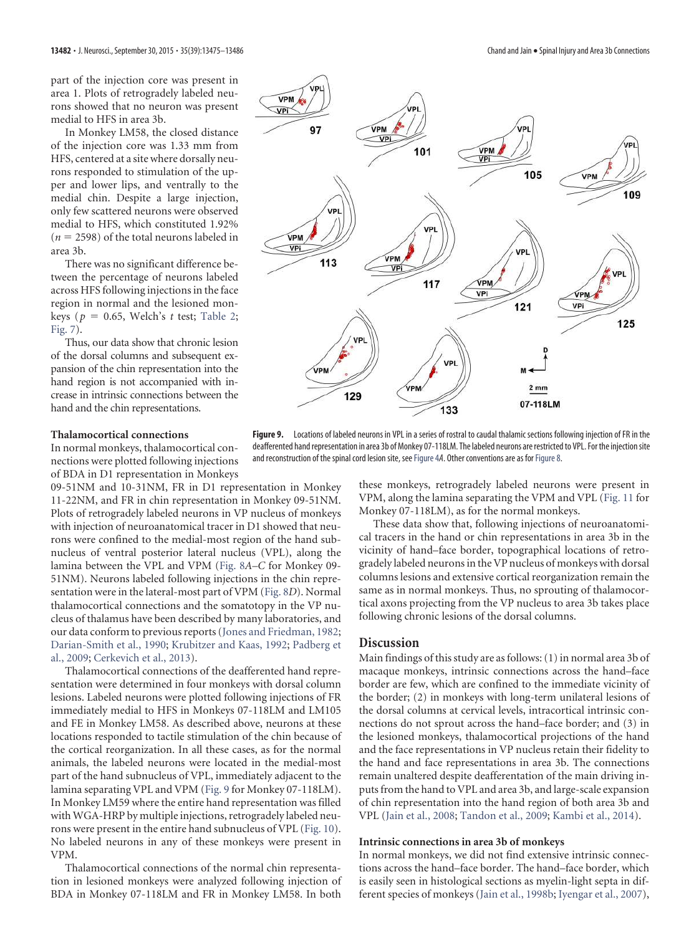part of the injection core was present in area 1. Plots of retrogradely labeled neurons showed that no neuron was present medial to HFS in area 3b.

In Monkey LM58, the closed distance of the injection core was 1.33 mm from HFS, centered at a site where dorsally neurons responded to stimulation of the upper and lower lips, and ventrally to the medial chin. Despite a large injection, only few scattered neurons were observed medial to HFS, which constituted 1.92%  $(n = 2598)$  of the total neurons labeled in area 3b.

There was no significant difference between the percentage of neurons labeled across HFS following injections in the face region in normal and the lesioned monkeys ( $p = 0.65$ , Welch's *t* test; Table 2; Fig. 7).

Thus, our data show that chronic lesion of the dorsal columns and subsequent expansion of the chin representation into the hand region is not accompanied with increase in intrinsic connections between the hand and the chin representations.

#### **Thalamocortical connections**

In normal monkeys, thalamocortical connections were plotted following injections of BDA in D1 representation in Monkeys

09-51NM and 10-31NM, FR in D1 representation in Monkey 11-22NM, and FR in chin representation in Monkey 09-51NM. Plots of retrogradely labeled neurons in VP nucleus of monkeys with injection of neuroanatomical tracer in D1 showed that neurons were confined to the medial-most region of the hand subnucleus of ventral posterior lateral nucleus (VPL), along the lamina between the VPL and VPM (Fig. 8*A–C* for Monkey 09- 51NM). Neurons labeled following injections in the chin representation were in the lateral-most part of VPM (Fig. 8*D*). Normal thalamocortical connections and the somatotopy in the VP nucleus of thalamus have been described by many laboratories, and our data conform to previous reports (Jones and Friedman, 1982; Darian-Smith et al., 1990; Krubitzer and Kaas, 1992; Padberg et al., 2009; Cerkevich et al., 2013).

Thalamocortical connections of the deafferented hand representation were determined in four monkeys with dorsal column lesions. Labeled neurons were plotted following injections of FR immediately medial to HFS in Monkeys 07-118LM and LM105 and FE in Monkey LM58. As described above, neurons at these locations responded to tactile stimulation of the chin because of the cortical reorganization. In all these cases, as for the normal animals, the labeled neurons were located in the medial-most part of the hand subnucleus of VPL, immediately adjacent to the lamina separating VPL and VPM (Fig. 9 for Monkey 07-118LM). In Monkey LM59 where the entire hand representation was filled with WGA-HRP by multiple injections, retrogradely labeled neurons were present in the entire hand subnucleus of VPL (Fig. 10). No labeled neurons in any of these monkeys were present in VPM.

Thalamocortical connections of the normal chin representation in lesioned monkeys were analyzed following injection of BDA in Monkey 07-118LM and FR in Monkey LM58. In both



**Figure 9.** Locations of labeled neurons in VPL in a series of rostral to caudal thalamic sections following injection of FR in the deafferented hand representation in area 3b of Monkey 07-118LM. The labeled neurons are restricted to VPL. For the injection site and reconstruction of the spinal cord lesion site, see Figure 4A. Other conventions are as for Figure 8.

these monkeys, retrogradely labeled neurons were present in VPM, along the lamina separating the VPM and VPL (Fig. 11 for Monkey 07-118LM), as for the normal monkeys.

These data show that, following injections of neuroanatomical tracers in the hand or chin representations in area 3b in the vicinity of hand–face border, topographical locations of retrogradely labeled neurons in the VP nucleus of monkeys with dorsal columns lesions and extensive cortical reorganization remain the same as in normal monkeys. Thus, no sprouting of thalamocortical axons projecting from the VP nucleus to area 3b takes place following chronic lesions of the dorsal columns.

#### **Discussion**

Main findings of this study are as follows: (1) in normal area 3b of macaque monkeys, intrinsic connections across the hand–face border are few, which are confined to the immediate vicinity of the border; (2) in monkeys with long-term unilateral lesions of the dorsal columns at cervical levels, intracortical intrinsic connections do not sprout across the hand–face border; and (3) in the lesioned monkeys, thalamocortical projections of the hand and the face representations in VP nucleus retain their fidelity to the hand and face representations in area 3b. The connections remain unaltered despite deafferentation of the main driving inputs from the hand to VPL and area 3b, and large-scale expansion of chin representation into the hand region of both area 3b and VPL (Jain et al., 2008; Tandon et al., 2009; Kambi et al., 2014).

#### **Intrinsic connections in area 3b of monkeys**

In normal monkeys, we did not find extensive intrinsic connections across the hand–face border. The hand–face border, which is easily seen in histological sections as myelin-light septa in different species of monkeys (Jain et al., 1998b; Iyengar et al., 2007),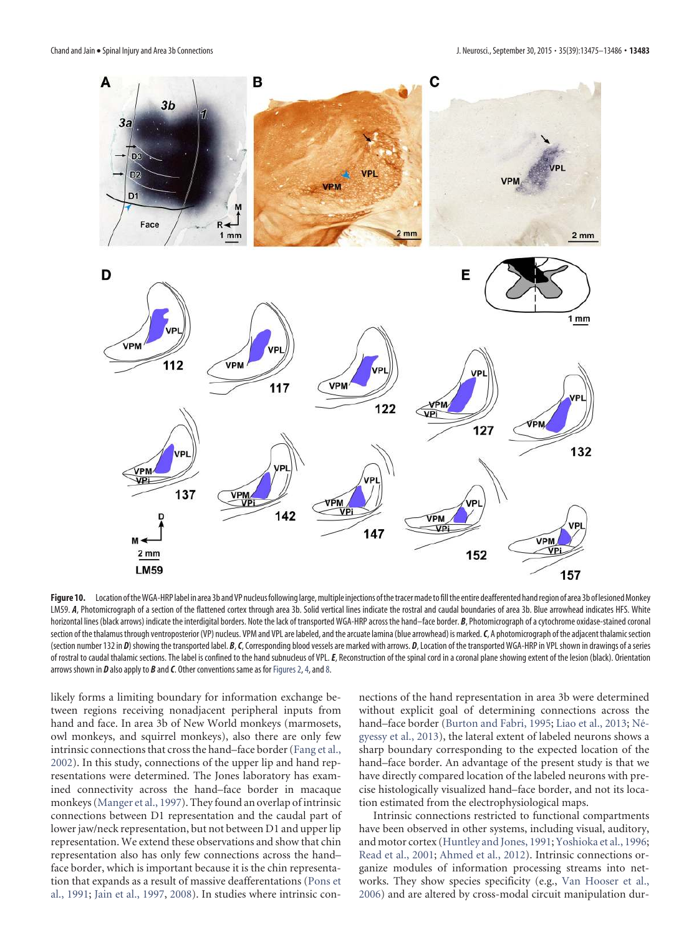

Figure 10. Location of the WGA-HRP label in area 3b and VP nucleus following large, multiple injections of the tracer made to fill the entire deafferented hand region of area 3b of lesioned Monkey LM59. *A*, Photomicrograph of a section of the flattened cortex through area 3b. Solid vertical lines indicate the rostral and caudal boundaries of area 3b. Blue arrowhead indicates HFS. White horizontal lines (black arrows) indicate the interdigital borders. Note the lack of transported WGA-HRP across the hand–face border. *B*, Photomicrograph of a cytochrome oxidase-stained coronal section of the thalamus through ventroposterior (VP) nucleus. VPM and VPL are labeled, and the arcuate lamina (blue arrowhead) is marked.*C*, A photomicrograph of the adjacent thalamic section (section number 132 in *D*) showing the transported label. *B*, *C*, Corresponding blood vessels are marked with arrows. *D*, Location of the transported WGA-HRP in VPL shown in drawings of a series of rostral to caudal thalamic sections. The label is confined to the hand subnucleus of VPL. E, Reconstruction of the spinal cord in a coronal plane showing extent of the lesion (black). Orientation arrows shown in *D* also apply to *B* and *C*. Other conventions same as for Figures 2, 4, and 8.

likely forms a limiting boundary for information exchange between regions receiving nonadjacent peripheral inputs from hand and face. In area 3b of New World monkeys (marmosets, owl monkeys, and squirrel monkeys), also there are only few intrinsic connections that cross the hand–face border (Fang et al., 2002). In this study, connections of the upper lip and hand representations were determined. The Jones laboratory has examined connectivity across the hand–face border in macaque monkeys (Manger et al., 1997). They found an overlap of intrinsic connections between D1 representation and the caudal part of lower jaw/neck representation, but not between D1 and upper lip representation. We extend these observations and show that chin representation also has only few connections across the hand– face border, which is important because it is the chin representation that expands as a result of massive deafferentations (Pons et al., 1991; Jain et al., 1997, 2008). In studies where intrinsic connections of the hand representation in area 3b were determined without explicit goal of determining connections across the hand–face border (Burton and Fabri, 1995; Liao et al., 2013; Négyessy et al., 2013), the lateral extent of labeled neurons shows a sharp boundary corresponding to the expected location of the hand–face border. An advantage of the present study is that we have directly compared location of the labeled neurons with precise histologically visualized hand–face border, and not its location estimated from the electrophysiological maps.

Intrinsic connections restricted to functional compartments have been observed in other systems, including visual, auditory, and motor cortex (Huntley and Jones, 1991; Yoshioka et al., 1996; Read et al., 2001; Ahmed et al., 2012). Intrinsic connections organize modules of information processing streams into networks. They show species specificity (e.g., Van Hooser et al., 2006) and are altered by cross-modal circuit manipulation dur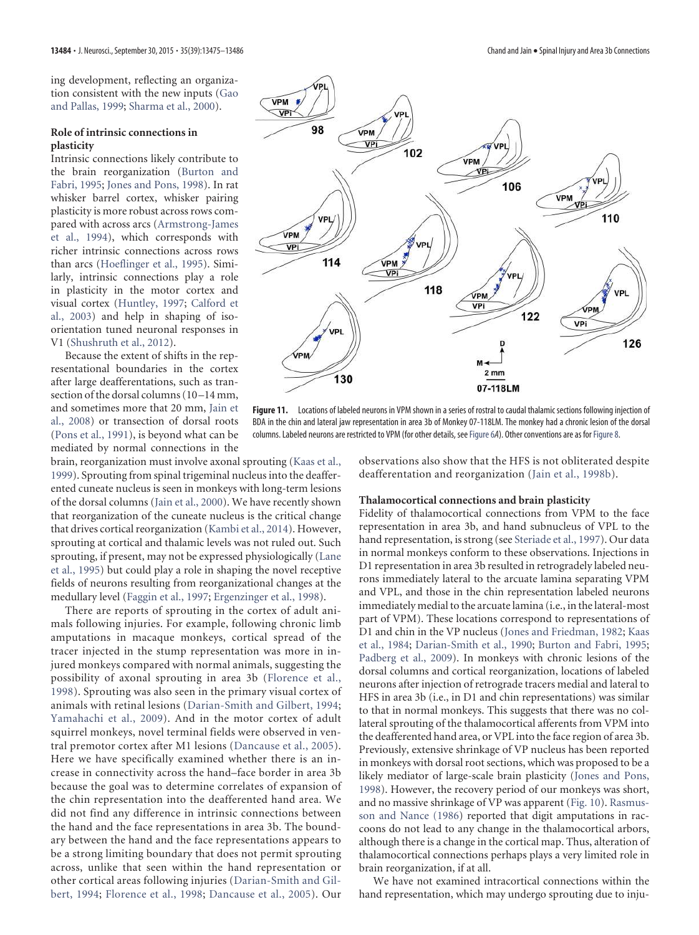ing development, reflecting an organization consistent with the new inputs (Gao and Pallas, 1999; Sharma et al., 2000).

#### **Role of intrinsic connections in plasticity**

Intrinsic connections likely contribute to the brain reorganization (Burton and Fabri, 1995; Jones and Pons, 1998). In rat whisker barrel cortex, whisker pairing plasticity is more robust across rows compared with across arcs (Armstrong-James et al., 1994), which corresponds with richer intrinsic connections across rows than arcs (Hoeflinger et al., 1995). Similarly, intrinsic connections play a role in plasticity in the motor cortex and visual cortex (Huntley, 1997; Calford et al., 2003) and help in shaping of isoorientation tuned neuronal responses in V1 (Shushruth et al., 2012).

Because the extent of shifts in the representational boundaries in the cortex after large deafferentations, such as transection of the dorsal columns (10-14 mm, and sometimes more that 20 mm, Jain et al., 2008) or transection of dorsal roots (Pons et al., 1991), is beyond what can be mediated by normal connections in the

brain, reorganization must involve axonal sprouting (Kaas et al., 1999). Sprouting from spinal trigeminal nucleus into the deafferented cuneate nucleus is seen in monkeys with long-term lesions of the dorsal columns (Jain et al., 2000). We have recently shown that reorganization of the cuneate nucleus is the critical change that drives cortical reorganization (Kambi et al., 2014). However, sprouting at cortical and thalamic levels was not ruled out. Such sprouting, if present, may not be expressed physiologically (Lane et al., 1995) but could play a role in shaping the novel receptive fields of neurons resulting from reorganizational changes at the medullary level (Faggin et al., 1997; Ergenzinger et al., 1998).

There are reports of sprouting in the cortex of adult animals following injuries. For example, following chronic limb amputations in macaque monkeys, cortical spread of the tracer injected in the stump representation was more in injured monkeys compared with normal animals, suggesting the possibility of axonal sprouting in area 3b (Florence et al., 1998). Sprouting was also seen in the primary visual cortex of animals with retinal lesions (Darian-Smith and Gilbert, 1994; Yamahachi et al., 2009). And in the motor cortex of adult squirrel monkeys, novel terminal fields were observed in ventral premotor cortex after M1 lesions (Dancause et al., 2005). Here we have specifically examined whether there is an increase in connectivity across the hand–face border in area 3b because the goal was to determine correlates of expansion of the chin representation into the deafferented hand area. We did not find any difference in intrinsic connections between the hand and the face representations in area 3b. The boundary between the hand and the face representations appears to be a strong limiting boundary that does not permit sprouting across, unlike that seen within the hand representation or other cortical areas following injuries (Darian-Smith and Gilbert, 1994; Florence et al., 1998; Dancause et al., 2005). Our



**Figure 11.** Locations of labeled neurons in VPM shown in a series of rostral to caudal thalamic sections following injection of BDA in the chin and lateral jaw representation in area 3b of Monkey 07-118LM. The monkey had a chronic lesion of the dorsal columns. Labeled neurons are restricted to VPM (for other details, see Figure 6A). Other conventions are as for Figure 8.

observations also show that the HFS is not obliterated despite deafferentation and reorganization (Jain et al., 1998b).

#### **Thalamocortical connections and brain plasticity**

Fidelity of thalamocortical connections from VPM to the face representation in area 3b, and hand subnucleus of VPL to the hand representation, is strong (see Steriade et al., 1997). Our data in normal monkeys conform to these observations. Injections in D1 representation in area 3b resulted in retrogradely labeled neurons immediately lateral to the arcuate lamina separating VPM and VPL, and those in the chin representation labeled neurons immediately medial to the arcuate lamina (i.e., in the lateral-most part of VPM). These locations correspond to representations of D1 and chin in the VP nucleus (Jones and Friedman, 1982; Kaas et al., 1984; Darian-Smith et al., 1990; Burton and Fabri, 1995; Padberg et al., 2009). In monkeys with chronic lesions of the dorsal columns and cortical reorganization, locations of labeled neurons after injection of retrograde tracers medial and lateral to HFS in area 3b (i.e., in D1 and chin representations) was similar to that in normal monkeys. This suggests that there was no collateral sprouting of the thalamocortical afferents from VPM into the deafferented hand area, or VPL into the face region of area 3b. Previously, extensive shrinkage of VP nucleus has been reported in monkeys with dorsal root sections, which was proposed to be a likely mediator of large-scale brain plasticity (Jones and Pons, 1998). However, the recovery period of our monkeys was short, and no massive shrinkage of VP was apparent (Fig. 10). Rasmusson and Nance (1986) reported that digit amputations in raccoons do not lead to any change in the thalamocortical arbors, although there is a change in the cortical map. Thus, alteration of thalamocortical connections perhaps plays a very limited role in brain reorganization, if at all.

We have not examined intracortical connections within the hand representation, which may undergo sprouting due to inju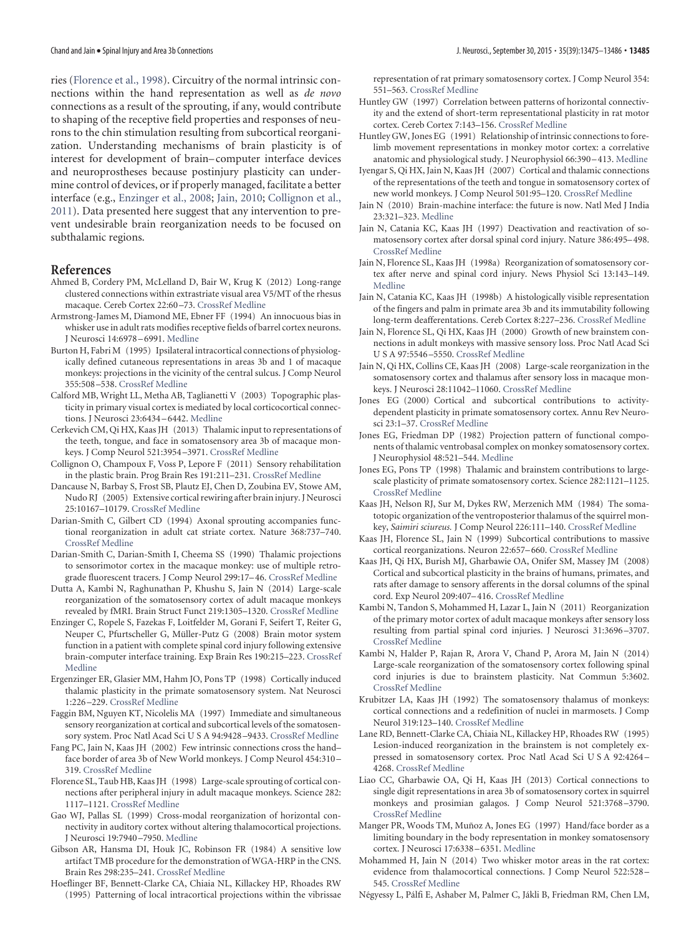ries (Florence et al., 1998). Circuitry of the normal intrinsic connections within the hand representation as well as *de novo* connections as a result of the sprouting, if any, would contribute to shaping of the receptive field properties and responses of neurons to the chin stimulation resulting from subcortical reorganization. Understanding mechanisms of brain plasticity is of interest for development of brain– computer interface devices and neuroprostheses because postinjury plasticity can undermine control of devices, or if properly managed, facilitate a better interface (e.g., Enzinger et al., 2008; Jain, 2010; Collignon et al., 2011). Data presented here suggest that any intervention to prevent undesirable brain reorganization needs to be focused on subthalamic regions.

### **References**

- Ahmed B, Cordery PM, McLelland D, Bair W, Krug K (2012) Long-range clustered connections within extrastriate visual area V5/MT of the rhesus macaque. Cereb Cortex 22:60 –73. CrossRef Medline
- Armstrong-James M, Diamond ME, Ebner FF (1994) An innocuous bias in whisker use in adult rats modifies receptive fields of barrel cortex neurons. J Neurosci 14:6978 – 6991. Medline
- Burton H, Fabri M (1995) Ipsilateral intracortical connections of physiologically defined cutaneous representations in areas 3b and 1 of macaque monkeys: projections in the vicinity of the central sulcus. J Comp Neurol 355:508 –538. CrossRef Medline
- Calford MB, Wright LL, Metha AB, Taglianetti V (2003) Topographic plasticity in primary visual cortex is mediated by local corticocortical connections. J Neurosci 23:6434 – 6442. Medline
- Cerkevich CM, Qi HX, Kaas JH (2013) Thalamic input to representations of the teeth, tongue, and face in somatosensory area 3b of macaque monkeys. J Comp Neurol 521:3954 –3971. CrossRef Medline
- Collignon O, Champoux F, Voss P, Lepore F (2011) Sensory rehabilitation in the plastic brain. Prog Brain Res 191:211–231. CrossRef Medline
- Dancause N, Barbay S, Frost SB, Plautz EJ, Chen D, Zoubina EV, Stowe AM, Nudo RJ (2005) Extensive cortical rewiring after brain injury. J Neurosci 25:10167–10179. CrossRef Medline
- Darian-Smith C, Gilbert CD (1994) Axonal sprouting accompanies functional reorganization in adult cat striate cortex. Nature 368:737–740. CrossRef Medline
- Darian-Smith C, Darian-Smith I, Cheema SS (1990) Thalamic projections to sensorimotor cortex in the macaque monkey: use of multiple retrograde fluorescent tracers. J Comp Neurol 299:17– 46. CrossRef Medline
- Dutta A, Kambi N, Raghunathan P, Khushu S, Jain N (2014) Large-scale reorganization of the somatosensory cortex of adult macaque monkeys revealed by fMRI. Brain Struct Funct 219:1305–1320. CrossRef Medline
- Enzinger C, Ropele S, Fazekas F, Loitfelder M, Gorani F, Seifert T, Reiter G, Neuper C, Pfurtscheller G, Müller-Putz G (2008) Brain motor system function in a patient with complete spinal cord injury following extensive brain-computer interface training. Exp Brain Res 190:215–223. CrossRef Medline
- Ergenzinger ER, Glasier MM, Hahm JO, Pons TP (1998) Cortically induced thalamic plasticity in the primate somatosensory system. Nat Neurosci 1:226 –229. CrossRef Medline
- Faggin BM, Nguyen KT, Nicolelis MA (1997) Immediate and simultaneous sensory reorganization at cortical and subcortical levels of the somatosensory system. Proc Natl Acad Sci U S A 94:9428 –9433. CrossRef Medline
- Fang PC, Jain N, Kaas JH (2002) Few intrinsic connections cross the hand– face border of area 3b of New World monkeys. J Comp Neurol 454:310 – 319. CrossRef Medline
- Florence SL, Taub HB, Kaas JH (1998) Large-scale sprouting of cortical connections after peripheral injury in adult macaque monkeys. Science 282: 1117–1121. CrossRef Medline
- Gao WJ, Pallas SL (1999) Cross-modal reorganization of horizontal connectivity in auditory cortex without altering thalamocortical projections. J Neurosci 19:7940 –7950. Medline
- Gibson AR, Hansma DI, Houk JC, Robinson FR (1984) A sensitive low artifact TMB procedure for the demonstration of WGA-HRP in the CNS. Brain Res 298:235–241. CrossRef Medline
- Hoeflinger BF, Bennett-Clarke CA, Chiaia NL, Killackey HP, Rhoades RW (1995) Patterning of local intracortical projections within the vibrissae

representation of rat primary somatosensory cortex. J Comp Neurol 354: 551–563. CrossRef Medline

- Huntley GW (1997) Correlation between patterns of horizontal connectivity and the extend of short-term representational plasticity in rat motor cortex. Cereb Cortex 7:143–156. CrossRef Medline
- Huntley GW, Jones EG (1991) Relationship of intrinsic connections to forelimb movement representations in monkey motor cortex: a correlative anatomic and physiological study. J Neurophysiol 66:390 – 413. Medline
- Iyengar S, Qi HX, Jain N, Kaas JH (2007) Cortical and thalamic connections of the representations of the teeth and tongue in somatosensory cortex of new world monkeys. J Comp Neurol 501:95–120. CrossRef Medline
- Jain N (2010) Brain-machine interface: the future is now. Natl Med J India 23:321–323. Medline
- Jain N, Catania KC, Kaas JH (1997) Deactivation and reactivation of somatosensory cortex after dorsal spinal cord injury. Nature 386:495– 498. CrossRef Medline
- Jain N, Florence SL, Kaas JH (1998a) Reorganization of somatosensory cortex after nerve and spinal cord injury. News Physiol Sci 13:143–149. Medline
- Jain N, Catania KC, Kaas JH (1998b) A histologically visible representation of the fingers and palm in primate area 3b and its immutability following long-term deafferentations. Cereb Cortex 8:227–236. CrossRef Medline
- Jain N, Florence SL, Qi HX, Kaas JH (2000) Growth of new brainstem connections in adult monkeys with massive sensory loss. Proc Natl Acad Sci U S A 97:5546 –5550. CrossRef Medline
- Jain N, Qi HX, Collins CE, Kaas JH (2008) Large-scale reorganization in the somatosensory cortex and thalamus after sensory loss in macaque monkeys. J Neurosci 28:11042–11060. CrossRef Medline
- Jones EG (2000) Cortical and subcortical contributions to activitydependent plasticity in primate somatosensory cortex. Annu Rev Neurosci 23:1–37. CrossRef Medline
- Jones EG, Friedman DP (1982) Projection pattern of functional components of thalamic ventrobasal complex on monkey somatosensory cortex. J Neurophysiol 48:521–544. Medline
- Jones EG, Pons TP (1998) Thalamic and brainstem contributions to largescale plasticity of primate somatosensory cortex. Science 282:1121–1125. CrossRef Medline
- Kaas JH, Nelson RJ, Sur M, Dykes RW, Merzenich MM (1984) The somatotopic organization of the ventroposterior thalamus of the squirrel monkey, *Saimiri sciureus.* J Comp Neurol 226:111–140. CrossRef Medline
- Kaas JH, Florence SL, Jain N (1999) Subcortical contributions to massive cortical reorganizations. Neuron 22:657– 660. CrossRef Medline
- Kaas JH, Qi HX, Burish MJ, Gharbawie OA, Onifer SM, Massey JM (2008) Cortical and subcortical plasticity in the brains of humans, primates, and rats after damage to sensory afferents in the dorsal columns of the spinal cord. Exp Neurol 209:407– 416. CrossRef Medline
- Kambi N, Tandon S, Mohammed H, Lazar L, Jain N (2011) Reorganization of the primary motor cortex of adult macaque monkeys after sensory loss resulting from partial spinal cord injuries. J Neurosci 31:3696 –3707. CrossRef Medline
- Kambi N, Halder P, Rajan R, Arora V, Chand P, Arora M, Jain N (2014) Large-scale reorganization of the somatosensory cortex following spinal cord injuries is due to brainstem plasticity. Nat Commun 5:3602. CrossRef Medline
- Krubitzer LA, Kaas JH (1992) The somatosensory thalamus of monkeys: cortical connections and a redefinition of nuclei in marmosets. J Comp Neurol 319:123–140. CrossRef Medline
- Lane RD, Bennett-Clarke CA, Chiaia NL, Killackey HP, Rhoades RW (1995) Lesion-induced reorganization in the brainstem is not completely expressed in somatosensory cortex. Proc Natl Acad Sci U S A 92:4264 – 4268. CrossRef Medline
- Liao CC, Gharbawie OA, Qi H, Kaas JH (2013) Cortical connections to single digit representations in area 3b of somatosensory cortex in squirrel monkeys and prosimian galagos. J Comp Neurol 521:3768 –3790. CrossRef Medline
- Manger PR, Woods TM, Muñoz A, Jones EG (1997) Hand/face border as a limiting boundary in the body representation in monkey somatosensory cortex. J Neurosci 17:6338 – 6351. Medline
- Mohammed H, Jain N (2014) Two whisker motor areas in the rat cortex: evidence from thalamocortical connections. J Comp Neurol 522:528 – 545. CrossRef Medline
- Négyessy L, Pálfi E, Ashaber M, Palmer C, Jákli B, Friedman RM, Chen LM,